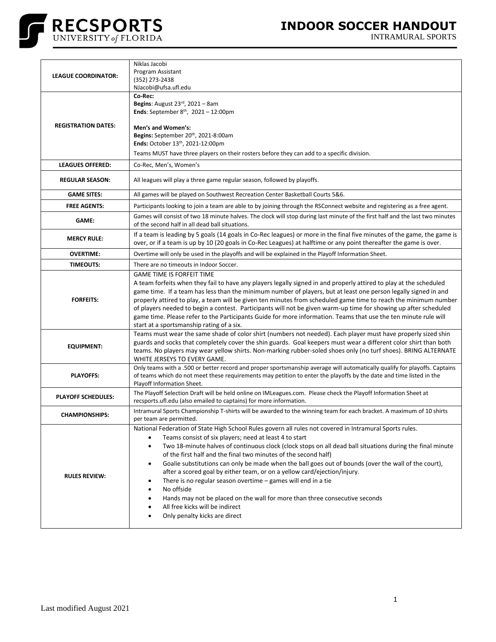

INTRAMURAL SPORTS

| <b>LEAGUE COORDINATOR:</b> | Niklas Jacobi<br>Program Assistant<br>(352) 273-2438<br>NJacobi@ufsa.ufl.edu                                                                                                                                                                                                                                                                                                                                                                                                                                                                                                                                                                                                                                                                                                                                                               |
|----------------------------|--------------------------------------------------------------------------------------------------------------------------------------------------------------------------------------------------------------------------------------------------------------------------------------------------------------------------------------------------------------------------------------------------------------------------------------------------------------------------------------------------------------------------------------------------------------------------------------------------------------------------------------------------------------------------------------------------------------------------------------------------------------------------------------------------------------------------------------------|
|                            | Co-Rec:<br>Begins: August $23^{rd}$ , $2021 - 8$ am<br><b>Ends:</b> September $8^{th}$ , $2021 - 12:00$ pm                                                                                                                                                                                                                                                                                                                                                                                                                                                                                                                                                                                                                                                                                                                                 |
| <b>REGISTRATION DATES:</b> | Men's and Women's:<br>Begins: September 20th, 2021-8:00am<br>Ends: October 13th, 2021-12:00pm                                                                                                                                                                                                                                                                                                                                                                                                                                                                                                                                                                                                                                                                                                                                              |
|                            | Teams MUST have three players on their rosters before they can add to a specific division.                                                                                                                                                                                                                                                                                                                                                                                                                                                                                                                                                                                                                                                                                                                                                 |
| <b>LEAGUES OFFERED:</b>    | Co-Rec, Men's, Women's                                                                                                                                                                                                                                                                                                                                                                                                                                                                                                                                                                                                                                                                                                                                                                                                                     |
| <b>REGULAR SEASON:</b>     | All leagues will play a three game regular season, followed by playoffs.                                                                                                                                                                                                                                                                                                                                                                                                                                                                                                                                                                                                                                                                                                                                                                   |
| <b>GAME SITES:</b>         | All games will be played on Southwest Recreation Center Basketball Courts 5&6.                                                                                                                                                                                                                                                                                                                                                                                                                                                                                                                                                                                                                                                                                                                                                             |
| <b>FREE AGENTS:</b>        | Participants looking to join a team are able to by joining through the RSConnect website and registering as a free agent.                                                                                                                                                                                                                                                                                                                                                                                                                                                                                                                                                                                                                                                                                                                  |
| <b>GAME:</b>               | Games will consist of two 18 minute halves. The clock will stop during last minute of the first half and the last two minutes<br>of the second half in all dead ball situations.                                                                                                                                                                                                                                                                                                                                                                                                                                                                                                                                                                                                                                                           |
| <b>MERCY RULE:</b>         | If a team is leading by 5 goals (14 goals in Co-Rec leagues) or more in the final five minutes of the game, the game is<br>over, or if a team is up by 10 (20 goals in Co-Rec Leagues) at halftime or any point thereafter the game is over.                                                                                                                                                                                                                                                                                                                                                                                                                                                                                                                                                                                               |
| <b>OVERTIME:</b>           | Overtime will only be used in the playoffs and will be explained in the Playoff Information Sheet.                                                                                                                                                                                                                                                                                                                                                                                                                                                                                                                                                                                                                                                                                                                                         |
| <b>TIMEOUTS:</b>           | There are no timeouts in Indoor Soccer.                                                                                                                                                                                                                                                                                                                                                                                                                                                                                                                                                                                                                                                                                                                                                                                                    |
| <b>FORFEITS:</b>           | <b>GAME TIME IS FORFEIT TIME</b><br>A team forfeits when they fail to have any players legally signed in and properly attired to play at the scheduled<br>game time. If a team has less than the minimum number of players, but at least one person legally signed in and<br>properly attired to play, a team will be given ten minutes from scheduled game time to reach the minimum number<br>of players needed to begin a contest. Participants will not be given warm-up time for showing up after scheduled<br>game time. Please refer to the Participants Guide for more information. Teams that use the ten minute rule will<br>start at a sportsmanship rating of a six.                                                                                                                                                           |
| <b>EQUIPMENT:</b>          | Teams must wear the same shade of color shirt (numbers not needed). Each player must have properly sized shin<br>guards and socks that completely cover the shin guards. Goal keepers must wear a different color shirt than both<br>teams. No players may wear yellow shirts. Non-marking rubber-soled shoes only (no turf shoes). BRING ALTERNATE<br>WHITE JERSEYS TO EVERY GAME.                                                                                                                                                                                                                                                                                                                                                                                                                                                        |
| <b>PLAYOFFS:</b>           | Only teams with a .500 or better record and proper sportsmanship average will automatically qualify for playoffs. Captains<br>of teams which do not meet these requirements may petition to enter the playoffs by the date and time listed in the<br>Playoff Information Sheet.                                                                                                                                                                                                                                                                                                                                                                                                                                                                                                                                                            |
| <b>PLAYOFF SCHEDULES:</b>  | The Playoff Selection Draft will be held online on IMLeagues.com. Please check the Playoff Information Sheet at<br>recsports.ufl.edu (also emailed to captains) for more information.                                                                                                                                                                                                                                                                                                                                                                                                                                                                                                                                                                                                                                                      |
| <b>CHAMPIONSHIPS:</b>      | Intramural Sports Championship T-shirts will be awarded to the winning team for each bracket. A maximum of 10 shirts<br>per team are permitted.                                                                                                                                                                                                                                                                                                                                                                                                                                                                                                                                                                                                                                                                                            |
| <b>RULES REVIEW:</b>       | National Federation of State High School Rules govern all rules not covered in Intramural Sports rules.<br>Teams consist of six players; need at least 4 to start<br>Two 18-minute halves of continuous clock (clock stops on all dead ball situations during the final minute<br>$\bullet$<br>of the first half and the final two minutes of the second half)<br>Goalie substitutions can only be made when the ball goes out of bounds (over the wall of the court),<br>$\bullet$<br>after a scored goal by either team, or on a yellow card/ejection/injury.<br>There is no regular season overtime - games will end in a tie<br>$\bullet$<br>No offside<br>٠<br>Hands may not be placed on the wall for more than three consecutive seconds<br>٠<br>All free kicks will be indirect<br>$\bullet$<br>Only penalty kicks are direct<br>٠ |